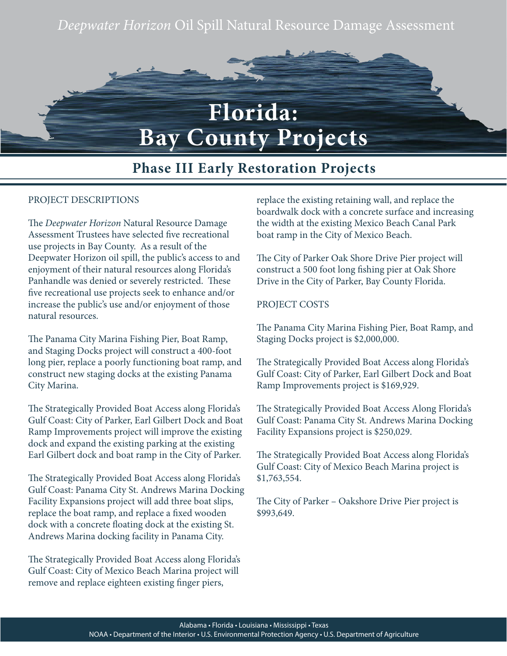# *Deepwater Horizon* Oil Spill Natural Resource Damage Assessment



## **Phase III Early Restoration Projects**

### PROJECT DESCRIPTIONS

The *Deepwater Horizon* Natural Resource Damage Assessment Trustees have selected five recreational use projects in Bay County. As a result of the Deepwater Horizon oil spill, the public's access to and enjoyment of their natural resources along Florida's Panhandle was denied or severely restricted. These five recreational use projects seek to enhance and/or increase the public's use and/or enjoyment of those natural resources.

The Panama City Marina Fishing Pier, Boat Ramp, and Staging Docks project will construct a 400-foot long pier, replace a poorly functioning boat ramp, and construct new staging docks at the existing Panama City Marina.

The Strategically Provided Boat Access along Florida's Gulf Coast: City of Parker, Earl Gilbert Dock and Boat Ramp Improvements project will improve the existing dock and expand the existing parking at the existing Earl Gilbert dock and boat ramp in the City of Parker.

The Strategically Provided Boat Access along Florida's Gulf Coast: Panama City St. Andrews Marina Docking Facility Expansions project will add three boat slips, replace the boat ramp, and replace a fixed wooden dock with a concrete floating dock at the existing St. Andrews Marina docking facility in Panama City.

The Strategically Provided Boat Access along Florida's Gulf Coast: City of Mexico Beach Marina project will remove and replace eighteen existing finger piers,

replace the existing retaining wall, and replace the boardwalk dock with a concrete surface and increasing the width at the existing Mexico Beach Canal Park boat ramp in the City of Mexico Beach.

The City of Parker Oak Shore Drive Pier project will construct a 500 foot long fishing pier at Oak Shore Drive in the City of Parker, Bay County Florida.

#### PROJECT COSTS

The Panama City Marina Fishing Pier, Boat Ramp, and Staging Docks project is \$2,000,000.

The Strategically Provided Boat Access along Florida's Gulf Coast: City of Parker, Earl Gilbert Dock and Boat Ramp Improvements project is \$169,929.

The Strategically Provided Boat Access Along Florida's Gulf Coast: Panama City St. Andrews Marina Docking Facility Expansions project is \$250,029.

The Strategically Provided Boat Access along Florida's Gulf Coast: City of Mexico Beach Marina project is \$1,763,554.

The City of Parker – Oakshore Drive Pier project is \$993,649.